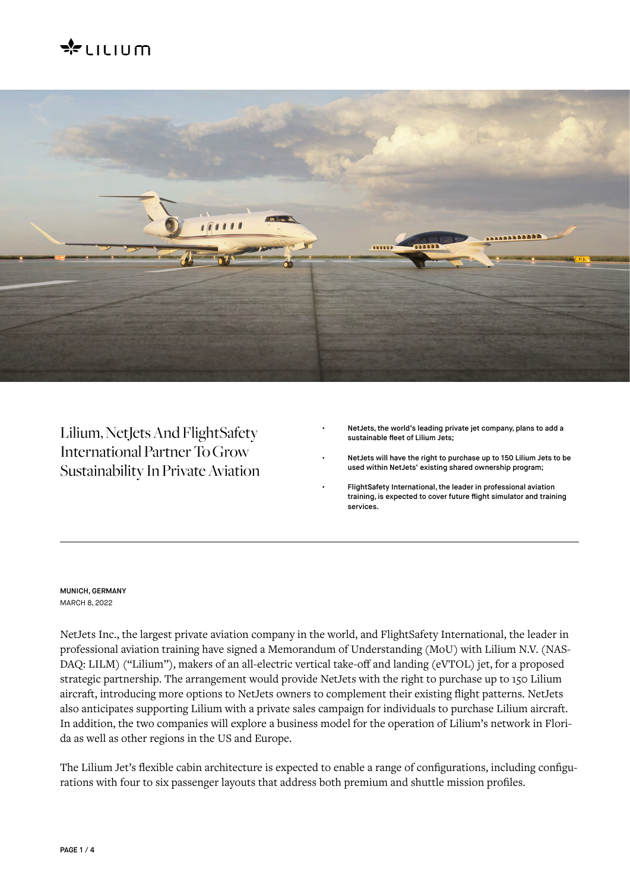# $\approx$ LILIUM



Lilium, NetJets And FlightSafety International Partner To Grow Sustainability In Private Aviation

- NetJets, the world's leading private jet company, plans to add a sustainable fleet of Lilium Jets;
- NetJets will have the right to purchase up to 150 Lilium Jets to be used within NetJets' existing shared ownership program;
- FlightSafety International, the leader in professional aviation training, is expected to cover future flight simulator and training services.

# MUNICH, GERMANY MARCH 8, 2022

NetJets Inc., the largest private aviation company in the world, and FlightSafety International, the leader in professional aviation training have signed a Memorandum of Understanding (MoU) with Lilium N.V. (NAS-DAQ: LILM) ("Lilium"), makers of an all-electric vertical take-off and landing (eVTOL) jet, for a proposed strategic partnership. The arrangement would provide NetJets with the right to purchase up to 150 Lilium aircraft, introducing more options to NetJets owners to complement their existing flight patterns. NetJets also anticipates supporting Lilium with a private sales campaign for individuals to purchase Lilium aircraft. In addition, the two companies will explore a business model for the operation of Lilium's network in Florida as well as other regions in the US and Europe.

The Lilium Jet's flexible cabin architecture is expected to enable a range of configurations, including configurations with four to six passenger layouts that address both premium and shuttle mission profiles.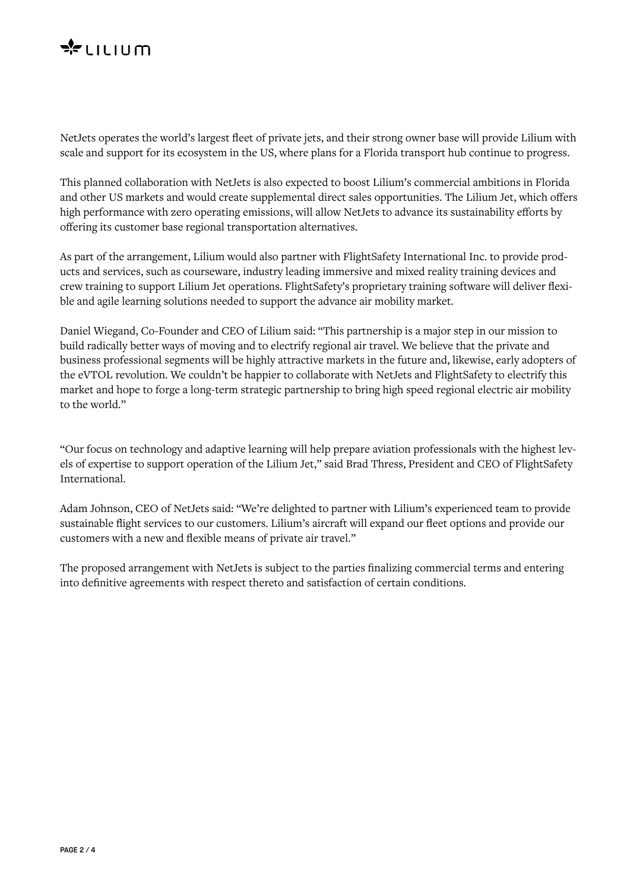

NetJets operates the world's largest fleet of private jets, and their strong owner base will provide Lilium with scale and support for its ecosystem in the US, where plans for a Florida transport hub continue to progress.

This planned collaboration with NetJets is also expected to boost Lilium's commercial ambitions in Florida and other US markets and would create supplemental direct sales opportunities. The Lilium Jet, which offers high performance with zero operating emissions, will allow NetJets to advance its sustainability efforts by offering its customer base regional transportation alternatives.

As part of the arrangement, Lilium would also partner with FlightSafety International Inc. to provide products and services, such as courseware, industry leading immersive and mixed reality training devices and crew training to support Lilium Jet operations. FlightSafety's proprietary training software will deliver flexible and agile learning solutions needed to support the advance air mobility market.

Daniel Wiegand, Co-Founder and CEO of Lilium said: "This partnership is a major step in our mission to build radically better ways of moving and to electrify regional air travel. We believe that the private and business professional segments will be highly attractive markets in the future and, likewise, early adopters of the eVTOL revolution. We couldn't be happier to collaborate with NetJets and FlightSafety to electrify this market and hope to forge a long-term strategic partnership to bring high speed regional electric air mobility to the world."

"Our focus on technology and adaptive learning will help prepare aviation professionals with the highest levels of expertise to support operation of the Lilium Jet," said Brad Thress, President and CEO of FlightSafety International.

Adam Johnson, CEO of NetJets said: "We're delighted to partner with Lilium's experienced team to provide sustainable flight services to our customers. Lilium's aircraft will expand our fleet options and provide our customers with a new and flexible means of private air travel."

The proposed arrangement with NetJets is subject to the parties finalizing commercial terms and entering into definitive agreements with respect thereto and satisfaction of certain conditions.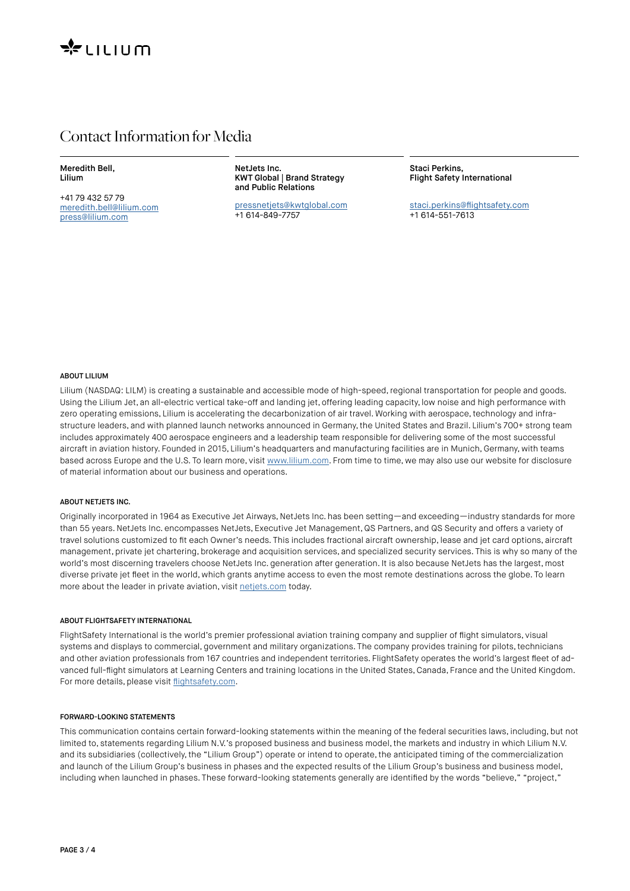

# Contact Information for Media

Meredith Bell, Lilium

+41 79 432 57 79 [meredith.bell@lilium.com](mailto:meredith.bell@lilium.com) [press@lilium.com](mailto:press@lilium.com)

NetJets Inc. KWT Global | Brand Strategy and Public Relations

[pressnetjets@kwtglobal.com](mailto:pressnetjets@kwtglobal.com ) +1 614-849-7757

Staci Perkins, Flight Safety International

s[taci.perkins@flightsafety.com](mailto:Staci.perkins@flightsafety.com) +1 614-551-7613

## ABOUT LILIUM

Lilium (NASDAQ: LILM) is creating a sustainable and accessible mode of high-speed, regional transportation for people and goods. Using the Lilium Jet, an all-electric vertical take-off and landing jet, offering leading capacity, low noise and high performance with zero operating emissions, Lilium is accelerating the decarbonization of air travel. Working with aerospace, technology and infrastructure leaders, and with planned launch networks announced in Germany, the United States and Brazil. Lilium's 700+ strong team includes approximately 400 aerospace engineers and a leadership team responsible for delivering some of the most successful aircraft in aviation history. Founded in 2015, Lilium's headquarters and manufacturing facilities are in Munich, Germany, with teams based across Europe and the U.S. To learn more, visit [www.lilium.com.](http://www.lilium.com) From time to time, we may also use our website for disclosure of material information about our business and operations.

#### ABOUT NETJETS INC.

Originally incorporated in 1964 as Executive Jet Airways, NetJets Inc. has been setting—and exceeding—industry standards for more than 55 years. NetJets Inc. encompasses NetJets, Executive Jet Management, QS Partners, and QS Security and offers a variety of travel solutions customized to fit each Owner's needs. This includes fractional aircraft ownership, lease and jet card options, aircraft management, private jet chartering, brokerage and acquisition services, and specialized security services. This is why so many of the world's most discerning travelers choose NetJets Inc. generation after generation. It is also because NetJets has the largest, most diverse private jet fleet in the world, which grants anytime access to even the most remote destinations across the globe. To learn more about the leader in private aviation, visit [netjets.com](http://netjets.com) today.

### ABOUT FLIGHTSAFETY INTERNATIONAL

FlightSafety International is the world's premier professional aviation training company and supplier of flight simulators, visual systems and displays to commercial, government and military organizations. The company provides training for pilots, technicians and other aviation professionals from 167 countries and independent territories. FlightSafety operates the world's largest fleet of advanced full-flight simulators at Learning Centers and training locations in the United States, Canada, France and the United Kingdom. For more details, please visit [flightsafety.com](http://flightsafety.com).

## FORWARD-LOOKING STATEMENTS

This communication contains certain forward-looking statements within the meaning of the federal securities laws, including, but not limited to, statements regarding Lilium N.V.'s proposed business and business model, the markets and industry in which Lilium N.V. and its subsidiaries (collectively, the "Lilium Group") operate or intend to operate, the anticipated timing of the commercialization and launch of the Lilium Group's business in phases and the expected results of the Lilium Group's business and business model, including when launched in phases. These forward-looking statements generally are identified by the words "believe," "project,"